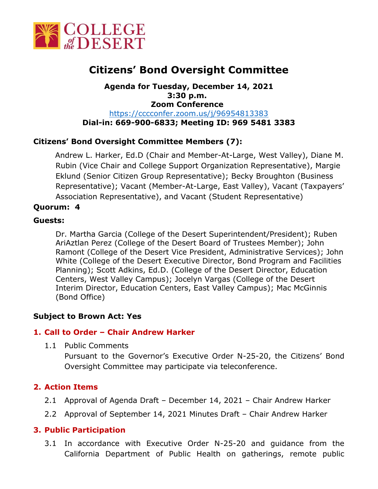

# **Citizens' Bond Oversight Committee**

**Agenda for Tuesday, December 14, 2021 3:30 p.m. Zoom Conference**  <https://cccconfer.zoom.us/j/96954813383> **Dial-in: 669-900-6833; Meeting ID: 969 5481 3383**

# **Citizens' Bond Oversight Committee Members (7):**

Andrew L. Harker, Ed.D (Chair and Member-At-Large, West Valley), Diane M. Rubin (Vice Chair and College Support Organization Representative), Margie Eklund (Senior Citizen Group Representative); Becky Broughton (Business Representative); Vacant (Member-At-Large, East Valley), Vacant (Taxpayers' Association Representative), and Vacant (Student Representative)

## **Quorum: 4**

## **Guests:**

Dr. Martha Garcia (College of the Desert Superintendent/President); Ruben AriAztlan Perez (College of the Desert Board of Trustees Member); John Ramont (College of the Desert Vice President, Administrative Services); John White (College of the Desert Executive Director, Bond Program and Facilities Planning); Scott Adkins, Ed.D. (College of the Desert Director, Education Centers, West Valley Campus); Jocelyn Vargas (College of the Desert Interim Director, Education Centers, East Valley Campus); Mac McGinnis (Bond Office)

#### **Subject to Brown Act: Yes**

#### **1. Call to Order – Chair Andrew Harker**

1.1 Public Comments

Pursuant to the Governor's Executive Order N-25-20, the Citizens' Bond Oversight Committee may participate via teleconference.

# **2. Action Items**

- 2.1 Approval of Agenda Draft December 14, 2021 Chair Andrew Harker
- 2.2 Approval of September 14, 2021 Minutes Draft Chair Andrew Harker

#### **3. Public Participation**

3.1 In accordance with Executive Order N-25-20 and guidance from the California Department of Public Health on gatherings, remote public